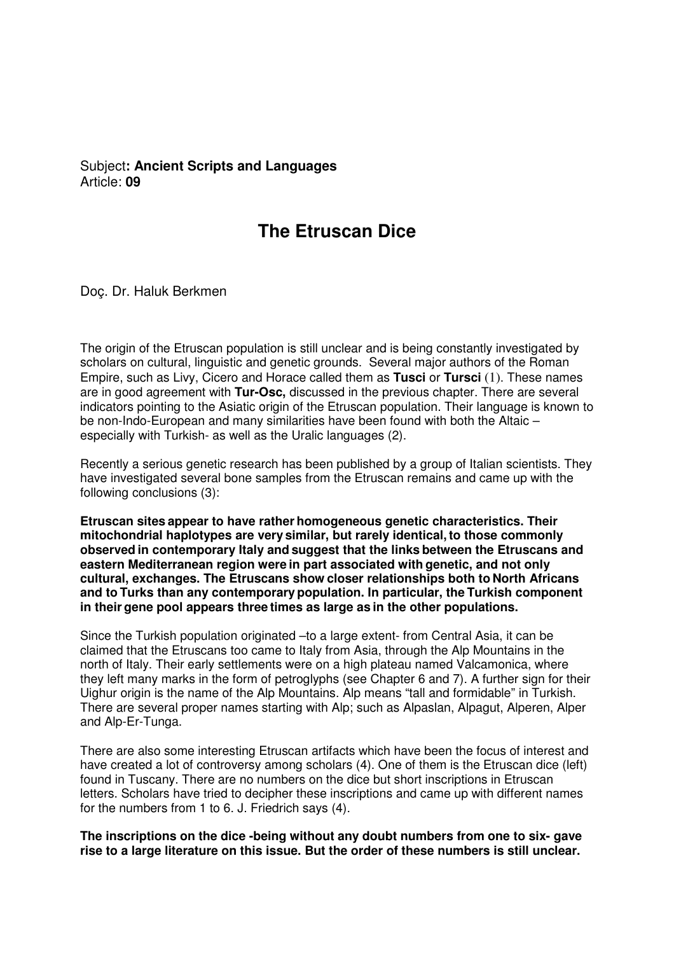## Subject**: Ancient Scripts and Languages**  Article: **09**

# **The Etruscan Dice**

Doç. Dr. Haluk Berkmen

The origin of the Etruscan population is still unclear and is being constantly investigated by scholars on cultural, linguistic and genetic grounds. Several major authors of the Roman Empire, such as Livy, Cicero and Horace called them as **Tusci** or **Tursci** (1). These names are in good agreement with **Tur-Osc,** discussed in the previous chapter. There are several indicators pointing to the Asiatic origin of the Etruscan population. Their language is known to be non-Indo-European and many similarities have been found with both the Altaic – especially with Turkish- as well as the Uralic languages (2).

Recently a serious genetic research has been published by a group of Italian scientists. They have investigated several bone samples from the Etruscan remains and came up with the following conclusions (3):

**Etruscan sites appear to have rather homogeneous genetic characteristics. Their mitochondrial haplotypes are very similar, but rarely identical, to those commonly observed in contemporary Italy and suggest that the links between the Etruscans and eastern Mediterranean region were in part associated with genetic, and not only cultural, exchanges. The Etruscans show closer relationships both to North Africans and to Turks than any contemporary population. In particular, the Turkish component in their gene pool appears three times as large as in the other populations.**

Since the Turkish population originated –to a large extent- from Central Asia, it can be claimed that the Etruscans too came to Italy from Asia, through the Alp Mountains in the north of Italy. Their early settlements were on a high plateau named Valcamonica, where they left many marks in the form of petroglyphs (see Chapter 6 and 7). A further sign for their Uighur origin is the name of the Alp Mountains. Alp means "tall and formidable" in Turkish. There are several proper names starting with Alp; such as Alpaslan, Alpagut, Alperen, Alper and Alp-Er-Tunga.

There are also some interesting Etruscan artifacts which have been the focus of interest and have created a lot of controversy among scholars (4). One of them is the Etruscan dice (left) found in Tuscany. There are no numbers on the dice but short inscriptions in Etruscan letters. Scholars have tried to decipher these inscriptions and came up with different names for the numbers from 1 to 6. J. Friedrich says (4).

**The inscriptions on the dice -being without any doubt numbers from one to six- gave rise to a large literature on this issue. But the order of these numbers is still unclear.**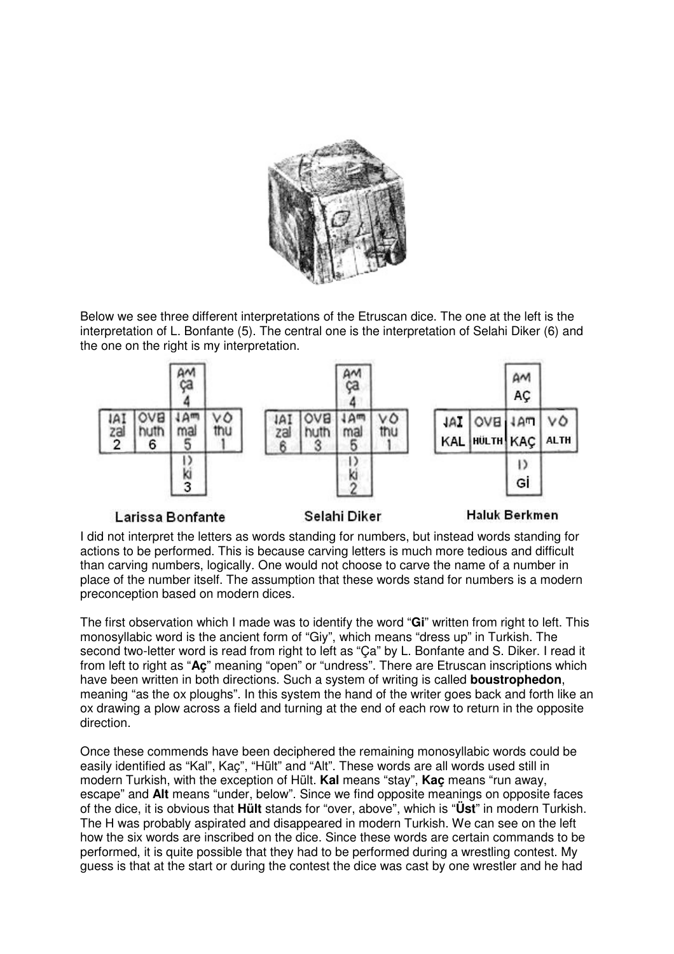

Below we see three different interpretations of the Etruscan dice. The one at the left is the interpretation of L. Bonfante (5). The central one is the interpretation of Selahi Diker (6) and the one on the right is my interpretation.



### Larissa Bonfante

#### Selahi Diker

#### Haluk Berkmen

I did not interpret the letters as words standing for numbers, but instead words standing for actions to be performed. This is because carving letters is much more tedious and difficult than carving numbers, logically. One would not choose to carve the name of a number in place of the number itself. The assumption that these words stand for numbers is a modern preconception based on modern dices.

The first observation which I made was to identify the word "**Gi**" written from right to left. This monosyllabic word is the ancient form of "Giy", which means "dress up" in Turkish. The second two-letter word is read from right to left as "Ca" by L. Bonfante and S. Diker. I read it from left to right as "**Aç**" meaning "open" or "undress". There are Etruscan inscriptions which have been written in both directions. Such a system of writing is called **boustrophedon**, meaning "as the ox ploughs". In this system the hand of the writer goes back and forth like an ox drawing a plow across a field and turning at the end of each row to return in the opposite direction.

Once these commends have been deciphered the remaining monosyllabic words could be easily identified as "Kal", Kaç", "Hült" and "Alt". These words are all words used still in modern Turkish, with the exception of Hült. **Kal** means "stay", **Kaç** means "run away, escape" and **Alt** means "under, below". Since we find opposite meanings on opposite faces of the dice, it is obvious that **Hült** stands for "over, above", which is "**Üst**" in modern Turkish. The H was probably aspirated and disappeared in modern Turkish. We can see on the left how the six words are inscribed on the dice. Since these words are certain commands to be performed, it is quite possible that they had to be performed during a wrestling contest. My guess is that at the start or during the contest the dice was cast by one wrestler and he had